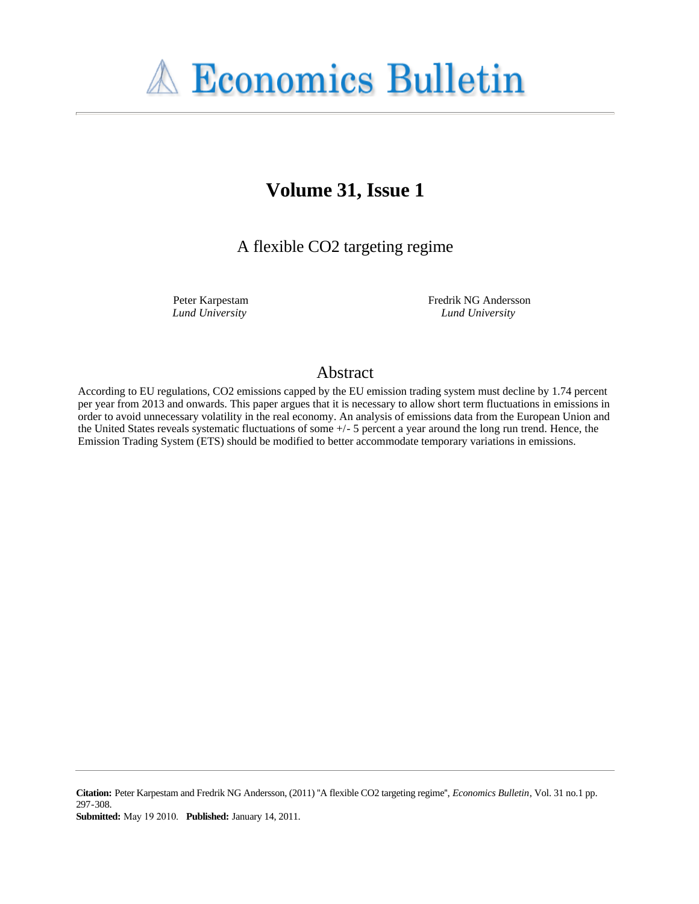# **A Economics Bulletin**

## **Volume 31, Issue 1**

A flexible CO2 targeting regime

Peter Karpestam *Lund University*

Fredrik NG Andersson *Lund University*

### Abstract

According to EU regulations, CO2 emissions capped by the EU emission trading system must decline by 1.74 percent per year from 2013 and onwards. This paper argues that it is necessary to allow short term fluctuations in emissions in order to avoid unnecessary volatility in the real economy. An analysis of emissions data from the European Union and the United States reveals systematic fluctuations of some +/- 5 percent a year around the long run trend. Hence, the Emission Trading System (ETS) should be modified to better accommodate temporary variations in emissions.

**Citation:** Peter Karpestam and Fredrik NG Andersson, (2011) ''A flexible CO2 targeting regime'', *Economics Bulletin*, Vol. 31 no.1 pp. 297-308.

**Submitted:** May 19 2010. **Published:** January 14, 2011.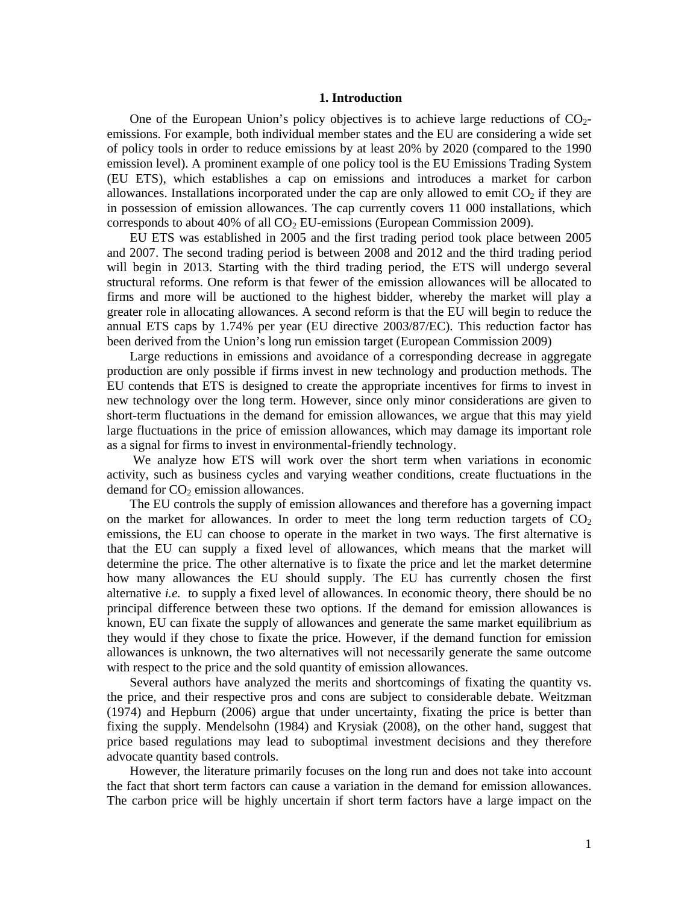#### **1. Introduction**

One of the European Union's policy objectives is to achieve large reductions of  $CO<sub>2</sub>$ emissions. For example, both individual member states and the EU are considering a wide set of policy tools in order to reduce emissions by at least 20% by 2020 (compared to the 1990 emission level). A prominent example of one policy tool is the EU Emissions Trading System (EU ETS), which establishes a cap on emissions and introduces a market for carbon allowances. Installations incorporated under the cap are only allowed to emit  $CO<sub>2</sub>$  if they are in possession of emission allowances. The cap currently covers 11 000 installations, which corresponds to about 40% of all  $CO<sub>2</sub> EU-emissions$  (European Commission 2009).

EU ETS was established in 2005 and the first trading period took place between 2005 and 2007. The second trading period is between 2008 and 2012 and the third trading period will begin in 2013. Starting with the third trading period, the ETS will undergo several structural reforms. One reform is that fewer of the emission allowances will be allocated to firms and more will be auctioned to the highest bidder, whereby the market will play a greater role in allocating allowances. A second reform is that the EU will begin to reduce the annual ETS caps by 1.74% per year (EU directive 2003/87/EC). This reduction factor has been derived from the Union's long run emission target (European Commission 2009)

Large reductions in emissions and avoidance of a corresponding decrease in aggregate production are only possible if firms invest in new technology and production methods. The EU contends that ETS is designed to create the appropriate incentives for firms to invest in new technology over the long term. However, since only minor considerations are given to short-term fluctuations in the demand for emission allowances, we argue that this may yield large fluctuations in the price of emission allowances, which may damage its important role as a signal for firms to invest in environmental-friendly technology.

 We analyze how ETS will work over the short term when variations in economic activity, such as business cycles and varying weather conditions, create fluctuations in the demand for  $CO<sub>2</sub>$  emission allowances.

The EU controls the supply of emission allowances and therefore has a governing impact on the market for allowances. In order to meet the long term reduction targets of  $CO<sub>2</sub>$ emissions, the EU can choose to operate in the market in two ways. The first alternative is that the EU can supply a fixed level of allowances, which means that the market will determine the price. The other alternative is to fixate the price and let the market determine how many allowances the EU should supply. The EU has currently chosen the first alternative *i.e.* to supply a fixed level of allowances. In economic theory, there should be no principal difference between these two options. If the demand for emission allowances is known, EU can fixate the supply of allowances and generate the same market equilibrium as they would if they chose to fixate the price. However, if the demand function for emission allowances is unknown, the two alternatives will not necessarily generate the same outcome with respect to the price and the sold quantity of emission allowances.

Several authors have analyzed the merits and shortcomings of fixating the quantity vs. the price, and their respective pros and cons are subject to considerable debate. Weitzman (1974) and Hepburn (2006) argue that under uncertainty, fixating the price is better than fixing the supply. Mendelsohn (1984) and Krysiak (2008), on the other hand, suggest that price based regulations may lead to suboptimal investment decisions and they therefore advocate quantity based controls.

However, the literature primarily focuses on the long run and does not take into account the fact that short term factors can cause a variation in the demand for emission allowances. The carbon price will be highly uncertain if short term factors have a large impact on the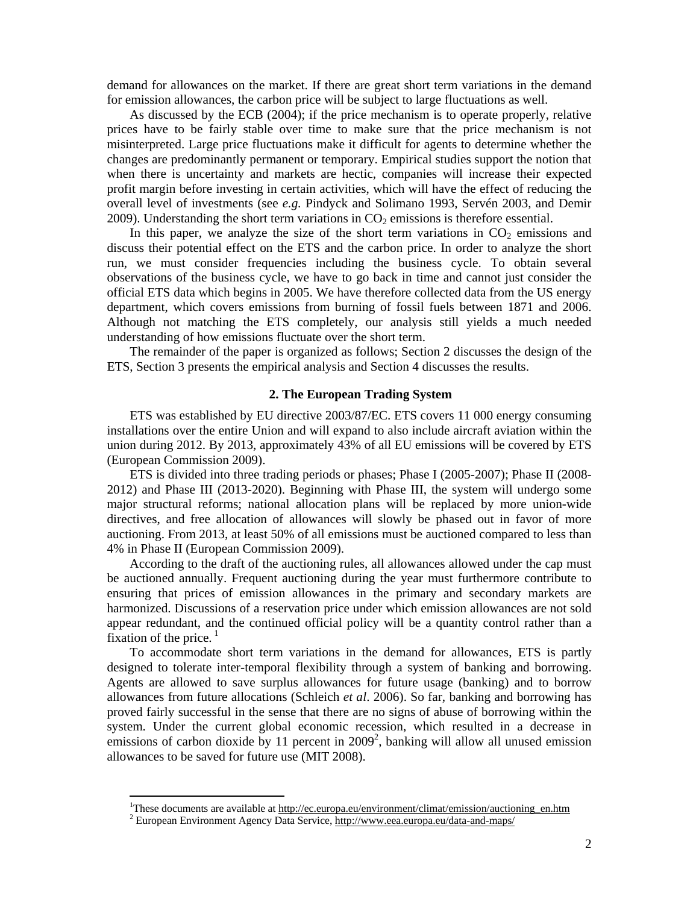demand for allowances on the market. If there are great short term variations in the demand for emission allowances, the carbon price will be subject to large fluctuations as well.

As discussed by the ECB (2004); if the price mechanism is to operate properly, relative prices have to be fairly stable over time to make sure that the price mechanism is not misinterpreted. Large price fluctuations make it difficult for agents to determine whether the changes are predominantly permanent or temporary. Empirical studies support the notion that when there is uncertainty and markets are hectic, companies will increase their expected profit margin before investing in certain activities, which will have the effect of reducing the overall level of investments (see *e.g.* Pindyck and Solimano 1993, Servén 2003, and Demir 2009). Understanding the short term variations in  $CO<sub>2</sub>$  emissions is therefore essential.

In this paper, we analyze the size of the short term variations in  $CO<sub>2</sub>$  emissions and discuss their potential effect on the ETS and the carbon price. In order to analyze the short run, we must consider frequencies including the business cycle. To obtain several observations of the business cycle, we have to go back in time and cannot just consider the official ETS data which begins in 2005. We have therefore collected data from the US energy department, which covers emissions from burning of fossil fuels between 1871 and 2006. Although not matching the ETS completely, our analysis still yields a much needed understanding of how emissions fluctuate over the short term.

The remainder of the paper is organized as follows; Section 2 discusses the design of the ETS, Section 3 presents the empirical analysis and Section 4 discusses the results.

#### **2. The European Trading System**

ETS was established by EU directive 2003/87/EC. ETS covers 11 000 energy consuming installations over the entire Union and will expand to also include aircraft aviation within the union during 2012. By 2013, approximately 43% of all EU emissions will be covered by ETS (European Commission 2009).

ETS is divided into three trading periods or phases; Phase I (2005-2007); Phase II (2008- 2012) and Phase III (2013-2020). Beginning with Phase III, the system will undergo some major structural reforms; national allocation plans will be replaced by more union-wide directives, and free allocation of allowances will slowly be phased out in favor of more auctioning. From 2013, at least 50% of all emissions must be auctioned compared to less than 4% in Phase II (European Commission 2009).

According to the draft of the auctioning rules, all allowances allowed under the cap must be auctioned annually. Frequent auctioning during the year must furthermore contribute to ensuring that prices of emission allowances in the primary and secondary markets are harmonized. Discussions of a reservation price under which emission allowances are not sold appear redundant, and the continued official policy will be a quantity control rather than a fixation of the price. $<sup>1</sup>$ </sup>

To accommodate short term variations in the demand for allowances, ETS is partly designed to tolerate inter-temporal flexibility through a system of banking and borrowing. Agents are allowed to save surplus allowances for future usage (banking) and to borrow allowances from future allocations (Schleich *et al*. 2006). So far, banking and borrowing has proved fairly successful in the sense that there are no signs of abuse of borrowing within the system. Under the current global economic recession, which resulted in a decrease in emissions of carbon dioxide by 11 percent in  $2009^2$ , banking will allow all unused emission allowances to be saved for future use (MIT 2008).

 $\overline{\phantom{a}}$ 

<sup>&</sup>lt;sup>1</sup>These documents are available at http://ec.europa.eu/environment/climat/emission/auctioning\_en.htm

<sup>&</sup>lt;sup>2</sup> European Environment Agency Data Service, http://www.eea.europa.eu/data-and-maps/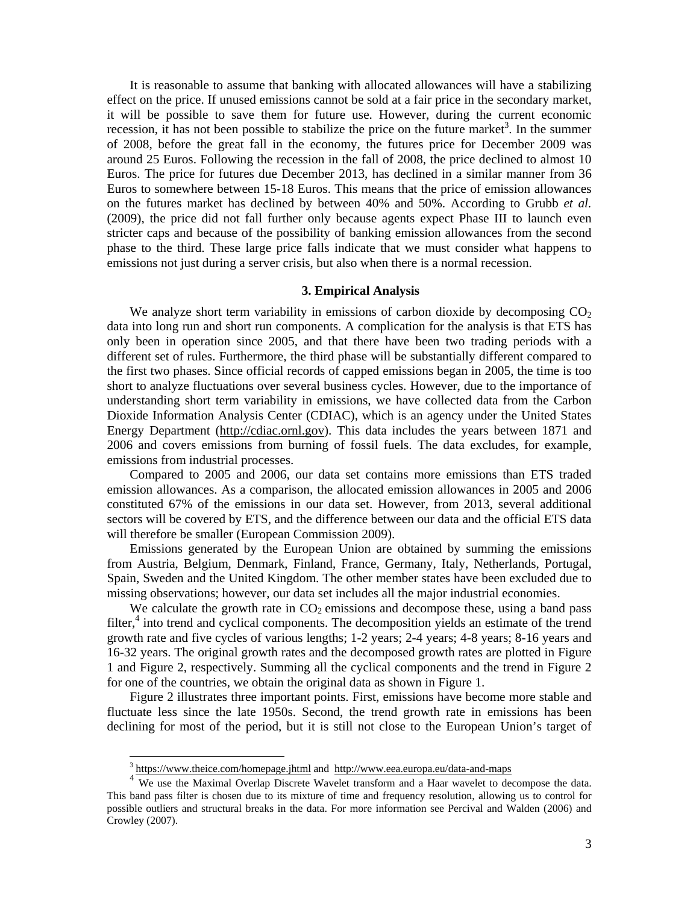It is reasonable to assume that banking with allocated allowances will have a stabilizing effect on the price. If unused emissions cannot be sold at a fair price in the secondary market, it will be possible to save them for future use. However, during the current economic recession, it has not been possible to stabilize the price on the future market<sup>3</sup>. In the summer of 2008, before the great fall in the economy, the futures price for December 2009 was around 25 Euros. Following the recession in the fall of 2008, the price declined to almost 10 Euros. The price for futures due December 2013, has declined in a similar manner from 36 Euros to somewhere between 15-18 Euros. This means that the price of emission allowances on the futures market has declined by between 40% and 50%. According to Grubb *et al.* (2009), the price did not fall further only because agents expect Phase III to launch even stricter caps and because of the possibility of banking emission allowances from the second phase to the third. These large price falls indicate that we must consider what happens to emissions not just during a server crisis, but also when there is a normal recession.

#### **3. Empirical Analysis**

We analyze short term variability in emissions of carbon dioxide by decomposing  $CO<sub>2</sub>$ data into long run and short run components. A complication for the analysis is that ETS has only been in operation since 2005, and that there have been two trading periods with a different set of rules. Furthermore, the third phase will be substantially different compared to the first two phases. Since official records of capped emissions began in 2005, the time is too short to analyze fluctuations over several business cycles. However, due to the importance of understanding short term variability in emissions, we have collected data from the Carbon Dioxide Information Analysis Center (CDIAC), which is an agency under the United States Energy Department (http://cdiac.ornl.gov). This data includes the years between 1871 and 2006 and covers emissions from burning of fossil fuels. The data excludes, for example, emissions from industrial processes.

Compared to 2005 and 2006, our data set contains more emissions than ETS traded emission allowances. As a comparison, the allocated emission allowances in 2005 and 2006 constituted 67% of the emissions in our data set. However, from 2013, several additional sectors will be covered by ETS, and the difference between our data and the official ETS data will therefore be smaller (European Commission 2009).

Emissions generated by the European Union are obtained by summing the emissions from Austria, Belgium, Denmark, Finland, France, Germany, Italy, Netherlands, Portugal, Spain, Sweden and the United Kingdom. The other member states have been excluded due to missing observations; however, our data set includes all the major industrial economies.

We calculate the growth rate in  $CO<sub>2</sub>$  emissions and decompose these, using a band pass filter,<sup>4</sup> into trend and cyclical components. The decomposition yields an estimate of the trend growth rate and five cycles of various lengths; 1-2 years; 2-4 years; 4-8 years; 8-16 years and 16-32 years. The original growth rates and the decomposed growth rates are plotted in Figure 1 and Figure 2, respectively. Summing all the cyclical components and the trend in Figure 2 for one of the countries, we obtain the original data as shown in Figure 1.

Figure 2 illustrates three important points. First, emissions have become more stable and fluctuate less since the late 1950s. Second, the trend growth rate in emissions has been declining for most of the period, but it is still not close to the European Union's target of

 $\overline{\phantom{a}}$ 

<sup>&</sup>lt;sup>3</sup> https://www.theice.com/homepage.jhtml and http://www.eea.europa.eu/data-and-maps

We use the Maximal Overlap Discrete Wavelet transform and a Haar wavelet to decompose the data. This band pass filter is chosen due to its mixture of time and frequency resolution, allowing us to control for possible outliers and structural breaks in the data. For more information see Percival and Walden (2006) and Crowley (2007).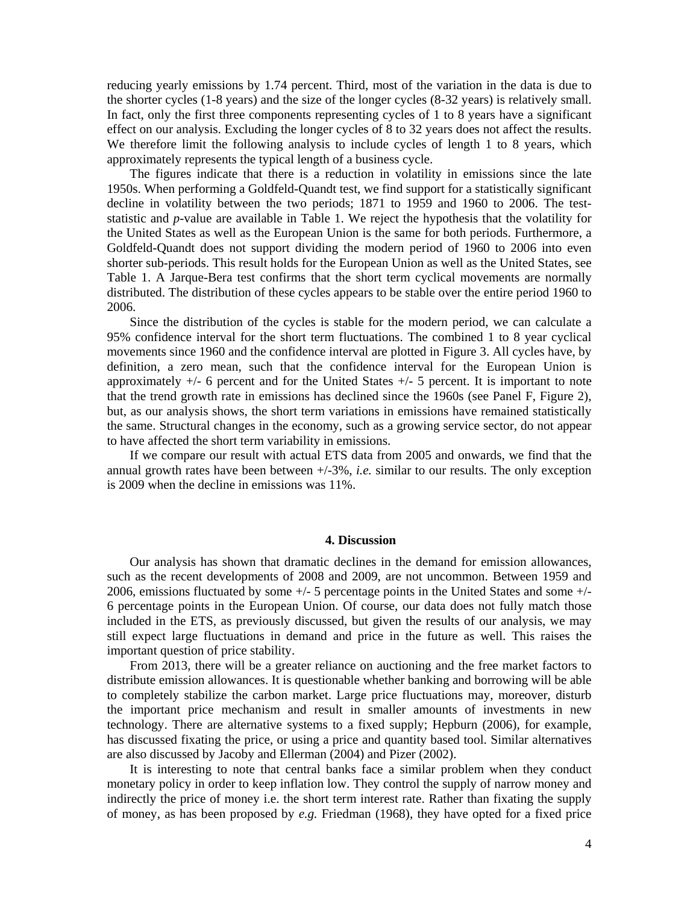reducing yearly emissions by 1.74 percent. Third, most of the variation in the data is due to the shorter cycles (1-8 years) and the size of the longer cycles (8-32 years) is relatively small. In fact, only the first three components representing cycles of 1 to 8 years have a significant effect on our analysis. Excluding the longer cycles of 8 to 32 years does not affect the results. We therefore limit the following analysis to include cycles of length 1 to 8 years, which approximately represents the typical length of a business cycle.

The figures indicate that there is a reduction in volatility in emissions since the late 1950s. When performing a Goldfeld-Quandt test, we find support for a statistically significant decline in volatility between the two periods; 1871 to 1959 and 1960 to 2006. The teststatistic and *p*-value are available in Table 1. We reject the hypothesis that the volatility for the United States as well as the European Union is the same for both periods. Furthermore, a Goldfeld-Quandt does not support dividing the modern period of 1960 to 2006 into even shorter sub-periods. This result holds for the European Union as well as the United States, see Table 1. A Jarque-Bera test confirms that the short term cyclical movements are normally distributed. The distribution of these cycles appears to be stable over the entire period 1960 to 2006.

Since the distribution of the cycles is stable for the modern period, we can calculate a 95% confidence interval for the short term fluctuations. The combined 1 to 8 year cyclical movements since 1960 and the confidence interval are plotted in Figure 3. All cycles have, by definition, a zero mean, such that the confidence interval for the European Union is approximately  $+/-$  6 percent and for the United States  $+/-$  5 percent. It is important to note that the trend growth rate in emissions has declined since the 1960s (see Panel F, Figure 2), but, as our analysis shows, the short term variations in emissions have remained statistically the same. Structural changes in the economy, such as a growing service sector, do not appear to have affected the short term variability in emissions.

If we compare our result with actual ETS data from 2005 and onwards, we find that the annual growth rates have been between +/-3%, *i.e.* similar to our results. The only exception is 2009 when the decline in emissions was 11%.

#### **4. Discussion**

Our analysis has shown that dramatic declines in the demand for emission allowances, such as the recent developments of 2008 and 2009, are not uncommon. Between 1959 and 2006, emissions fluctuated by some +/- 5 percentage points in the United States and some +/- 6 percentage points in the European Union. Of course, our data does not fully match those included in the ETS, as previously discussed, but given the results of our analysis, we may still expect large fluctuations in demand and price in the future as well. This raises the important question of price stability.

From 2013, there will be a greater reliance on auctioning and the free market factors to distribute emission allowances. It is questionable whether banking and borrowing will be able to completely stabilize the carbon market. Large price fluctuations may, moreover, disturb the important price mechanism and result in smaller amounts of investments in new technology. There are alternative systems to a fixed supply; Hepburn (2006), for example, has discussed fixating the price, or using a price and quantity based tool. Similar alternatives are also discussed by Jacoby and Ellerman (2004) and Pizer (2002).

It is interesting to note that central banks face a similar problem when they conduct monetary policy in order to keep inflation low. They control the supply of narrow money and indirectly the price of money i.e. the short term interest rate. Rather than fixating the supply of money, as has been proposed by *e.g.* Friedman (1968), they have opted for a fixed price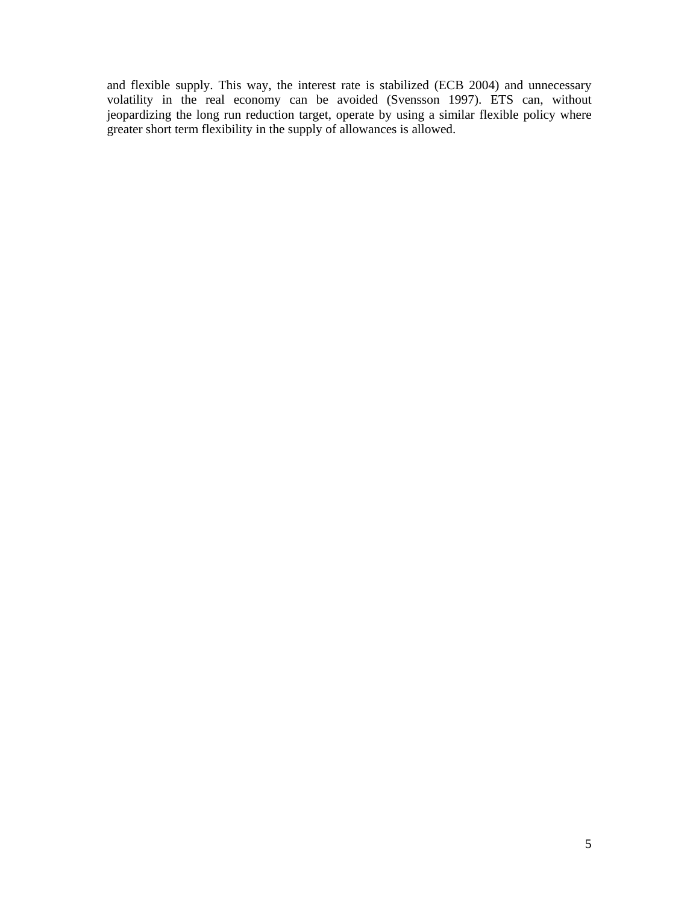and flexible supply. This way, the interest rate is stabilized (ECB 2004) and unnecessary volatility in the real economy can be avoided (Svensson 1997). ETS can, without jeopardizing the long run reduction target, operate by using a similar flexible policy where greater short term flexibility in the supply of allowances is allowed.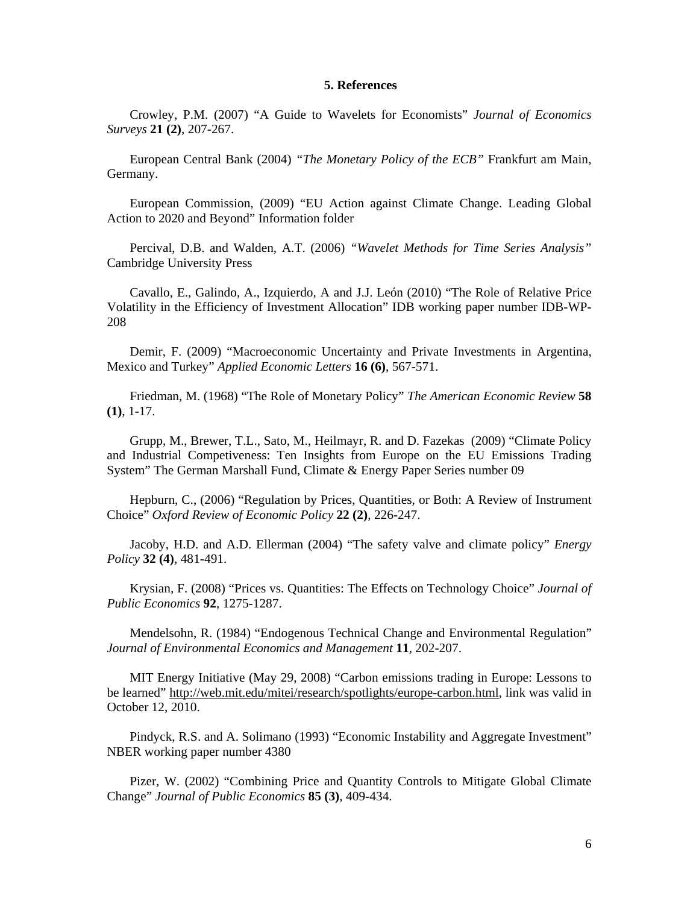#### **5. References**

Crowley, P.M. (2007) "A Guide to Wavelets for Economists" *Journal of Economics Surveys* **21 (2)**, 207-267.

European Central Bank (2004) *"The Monetary Policy of the ECB"* Frankfurt am Main, Germany.

European Commission, (2009) "EU Action against Climate Change. Leading Global Action to 2020 and Beyond" Information folder

Percival, D.B. and Walden, A.T. (2006) *"Wavelet Methods for Time Series Analysis"* Cambridge University Press

Cavallo, E., Galindo, A., Izquierdo, A and J.J. León (2010) "The Role of Relative Price Volatility in the Efficiency of Investment Allocation" IDB working paper number IDB-WP-208

Demir, F. (2009) "Macroeconomic Uncertainty and Private Investments in Argentina, Mexico and Turkey" *Applied Economic Letters* **16 (6)**, 567-571.

Friedman, M. (1968) "The Role of Monetary Policy" *The American Economic Review* **58 (1)**, 1-17.

Grupp, M., Brewer, T.L., Sato, M., Heilmayr, R. and D. Fazekas (2009) "Climate Policy and Industrial Competiveness: Ten Insights from Europe on the EU Emissions Trading System" The German Marshall Fund, Climate & Energy Paper Series number 09

Hepburn, C., (2006) "Regulation by Prices, Quantities, or Both: A Review of Instrument Choice" *Oxford Review of Economic Policy* **22 (2)**, 226-247.

Jacoby, H.D. and A.D. Ellerman (2004) "The safety valve and climate policy" *Energy Policy* **32 (4)**, 481-491.

Krysian, F. (2008) "Prices vs. Quantities: The Effects on Technology Choice" *Journal of Public Economics* **92**, 1275-1287.

Mendelsohn, R. (1984) "Endogenous Technical Change and Environmental Regulation" *Journal of Environmental Economics and Management* **11**, 202-207.

MIT Energy Initiative (May 29, 2008) "Carbon emissions trading in Europe: Lessons to be learned" http://web.mit.edu/mitei/research/spotlights/europe-carbon.html, link was valid in October 12, 2010.

Pindyck, R.S. and A. Solimano (1993) "Economic Instability and Aggregate Investment" NBER working paper number 4380

Pizer, W. (2002) "Combining Price and Quantity Controls to Mitigate Global Climate Change" *Journal of Public Economics* **85 (3)**, 409-434.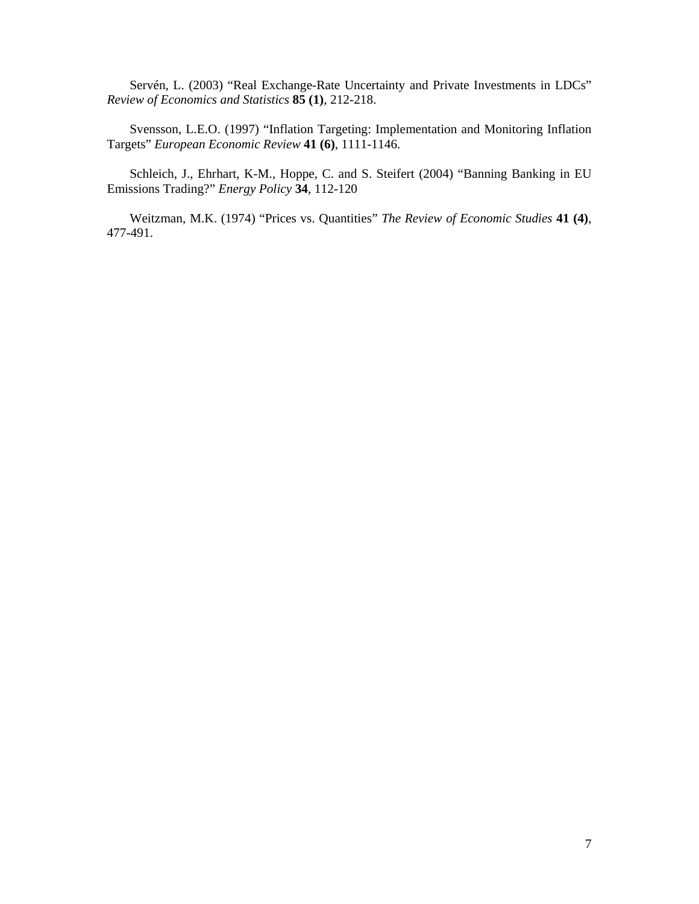Servén, L. (2003) "Real Exchange-Rate Uncertainty and Private Investments in LDCs" *Review of Economics and Statistics* **85 (1)**, 212-218.

Svensson, L.E.O. (1997) "Inflation Targeting: Implementation and Monitoring Inflation Targets" *European Economic Review* **41 (6)**, 1111-1146.

Schleich, J., Ehrhart, K-M., Hoppe, C. and S. Steifert (2004) "Banning Banking in EU Emissions Trading?" *Energy Policy* **34**, 112-120

Weitzman, M.K. (1974) "Prices vs. Quantities" *The Review of Economic Studies* **41 (4)**, 477-491.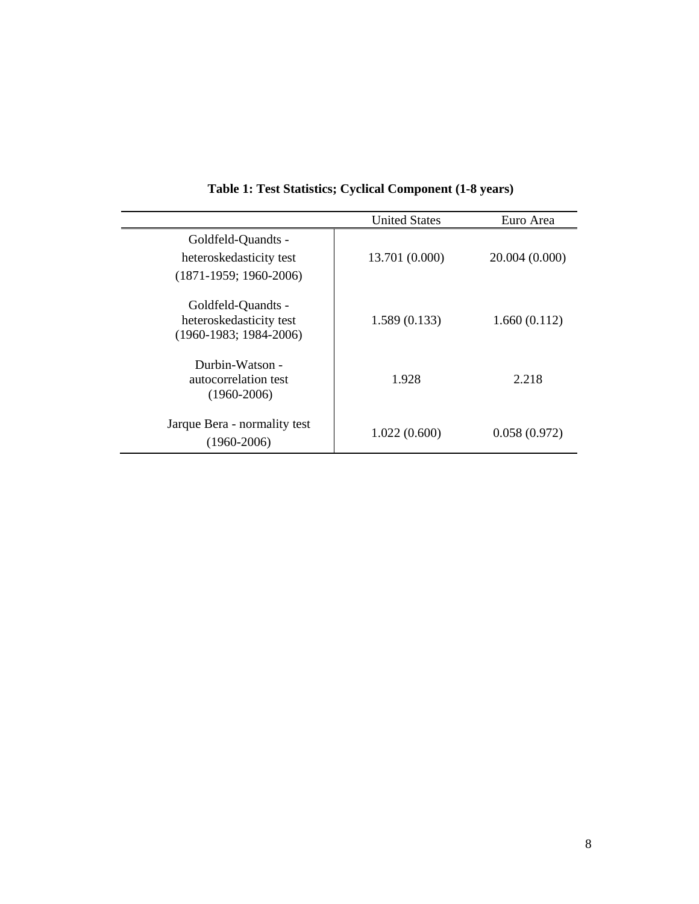|                                                                           | <b>United States</b> | Euro Area      |
|---------------------------------------------------------------------------|----------------------|----------------|
| Goldfeld-Quandts -<br>heteroskedasticity test<br>$(1871-1959; 1960-2006)$ | 13.701 (0.000)       | 20.004 (0.000) |
| Goldfeld-Quandts -<br>heteroskedasticity test<br>$(1960-1983; 1984-2006)$ | 1.589(0.133)         | 1.660(0.112)   |
| Durbin-Watson -<br>autocorrelation test<br>$(1960 - 2006)$                | 1.928                | 2.218          |
| Jarque Bera - normality test<br>$(1960 - 2006)$                           | 1.022(0.600)         | 0.058(0.972)   |

## **Table 1: Test Statistics; Cyclical Component (1-8 years)**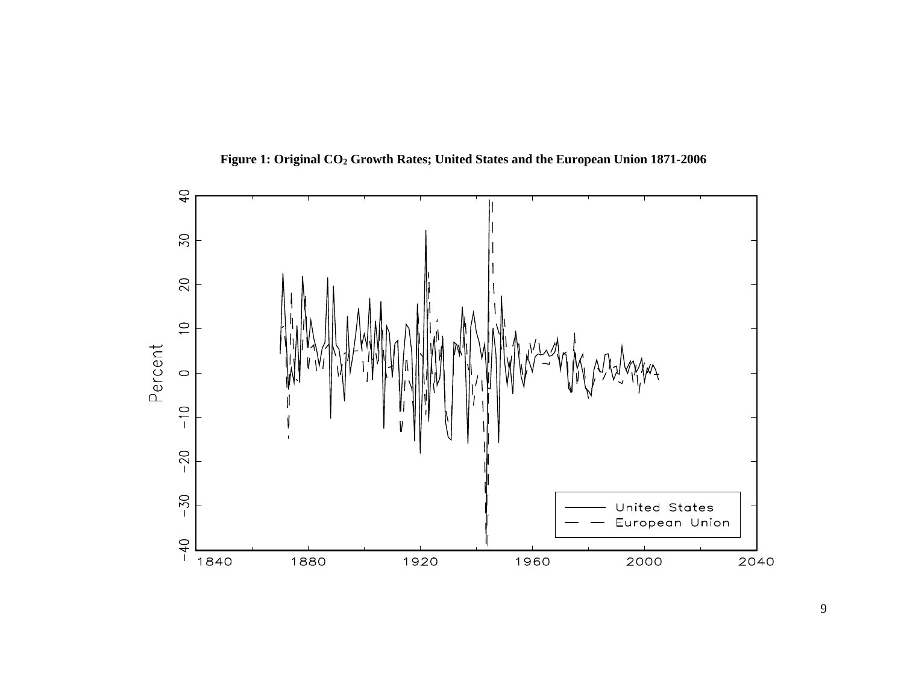

**Figure 1: Original CO2 Growth Rates; United States and the European Union 1871-2006**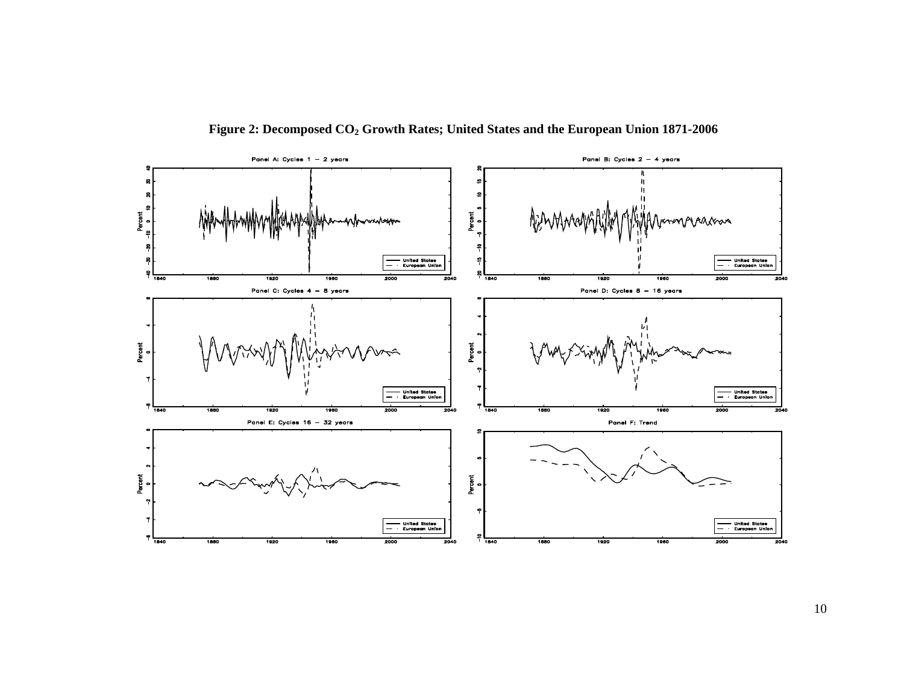

**Figure 2: Decomposed CO2 Growth Rates; United States and the European Union 1871-2006**